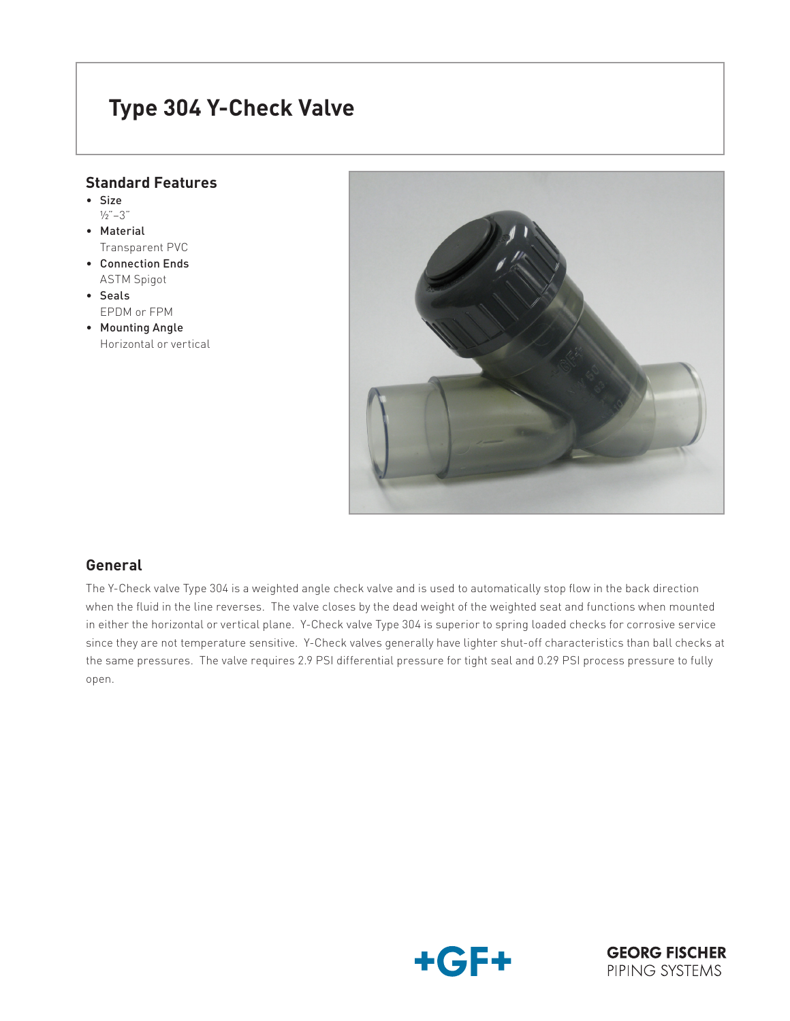# **Type 304 Y-Check Valve**

## **Standard Features**

- • Size
- ½"–3" • Material
- Transparent PVC
- • Connection Ends ASTM Spigot
- • Seals EPDM or FPM
- Mounting Angle Horizontal or vertical



## **General**

The Y-Check valve Type 304 is a weighted angle check valve and is used to automatically stop flow in the back direction when the fluid in the line reverses. The valve closes by the dead weight of the weighted seat and functions when mounted in either the horizontal or vertical plane. Y-Check valve Type 304 is superior to spring loaded checks for corrosive service since they are not temperature sensitive. Y-Check valves generally have lighter shut-off characteristics than ball checks at the same pressures. The valve requires 2.9 PSI differential pressure for tight seal and 0.29 PSI process pressure to fully open.